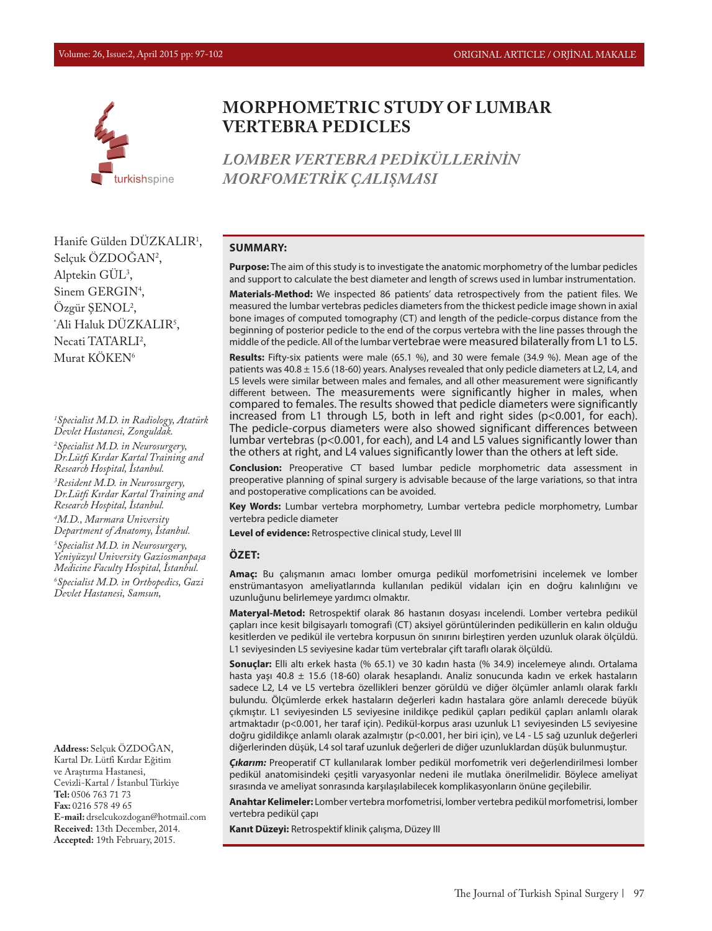

# **MORPHOMETRIC STUDY OF LUMBAR VERTEBRA PEDICLES**

*LOMBER VERTEBRA PEDİKÜLLERİNİN MORFOMETRİK ÇALIŞMASI*

Hanife Gülden DÜZKALIR1 , Selçuk OZDOGAN<sup>2</sup>, Alptekin GUL<sup>3</sup>, Sinem GERGIN<sup>4</sup>, Özgür ŞENOL2 , Ali Haluk DUZKALIR<sup>5</sup>, Necati TATARLI<sup>2</sup>, Murat KÖKEN<sup>6</sup>

*1 Specialist M.D. in Radiology, Atatürk Devlet Hastanesi, Zonguldak.*

*2 Specialist M.D. in Neurosurgery, Dr.Lütfi Kırdar Kartal Training and Research Hospital, İstanbul.*

*3 Resident M.D. in Neurosurgery, Dr.Lütfi Kırdar Kartal Training and Research Hospital, İstanbul.*

*4 M.D., Marmara University Department of Anatomy, İstanbul. 5 Specialist M.D. in Neurosurgery,* 

*Yeniyüzyıl University Gaziosmanpaşa Medicine Faculty Hospital, İstanbul. 6 Specialist M.D. in Orthopedics, Gazi Devlet Hastanesi, Samsun,* 

**Address:** Selçuk ÖZDOĞAN, Kartal Dr. Lütfi Kırdar Eğitim ve Araştırma Hastanesi, Cevizli-Kartal / İstanbul Türkiye **Tel:** 0506 763 71 73 **Fax:** 0216 578 49 65 **E-mail:** drselcukozdogan@hotmail.com **Received:** 13th December, 2014. **Accepted:** 19th February, 2015.

#### **SUMMARY:**

**Purpose:** The aim of this study is to investigate the anatomic morphometry of the lumbar pedicles and support to calculate the best diameter and length of screws used in lumbar instrumentation.

**Materials-Method:** We inspected 86 patients' data retrospectively from the patient files. We measured the lumbar vertebras pedicles diameters from the thickest pedicle image shown in axial bone images of computed tomography (CT) and length of the pedicle-corpus distance from the beginning of posterior pedicle to the end of the corpus vertebra with the line passes through the middle of the pedicle. All of the lumbar vertebrae were measured bilaterally from L1 to L5.

**Results:** Fifty-six patients were male (65.1 %), and 30 were female (34.9 %). Mean age of the patients was  $40.8 \pm 15.6$  (18-60) years. Analyses revealed that only pedicle diameters at L2, L4, and L5 levels were similar between males and females, and all other measurement were significantly different between. The measurements were significantly higher in males, when compared to females. The results showed that pedicle diameters were significantly increased from L1 through L5, both in left and right sides (p<0.001, for each). The pedicle-corpus diameters were also showed significant differences between lumbar vertebras (p<0.001, for each), and L4 and L5 values significantly lower than the others at right, and L4 values significantly lower than the others at left side.

**Conclusion:** Preoperative CT based lumbar pedicle morphometric data assessment in preoperative planning of spinal surgery is advisable because of the large variations, so that intra and postoperative complications can be avoided.

**Key Words:** Lumbar vertebra morphometry, Lumbar vertebra pedicle morphometry, Lumbar vertebra pedicle diameter

**Level of evidence:** Retrospective clinical study, Level III

#### **ÖZET:**

**Amaç:** Bu çalışmanın amacı lomber omurga pedikül morfometrisini incelemek ve lomber enstrümantasyon ameliyatlarında kullanılan pedikül vidaları için en doğru kalınlığını ve uzunluğunu belirlemeye yardımcı olmaktır.

**Materyal-Metod:** Retrospektif olarak 86 hastanın dosyası incelendi. Lomber vertebra pedikül çapları ince kesit bilgisayarlı tomografi (CT) aksiyel görüntülerinden pediküllerin en kalın olduğu kesitlerden ve pedikül ile vertebra korpusun ön sınırını birleştiren yerden uzunluk olarak ölçüldü. L1 seviyesinden L5 seviyesine kadar tüm vertebralar çift taraflı olarak ölçüldü.

**Sonuçlar:** Elli altı erkek hasta (% 65.1) ve 30 kadın hasta (% 34.9) incelemeye alındı. Ortalama hasta yaşı 40.8 ± 15.6 (18-60) olarak hesaplandı. Analiz sonucunda kadın ve erkek hastaların sadece L2, L4 ve L5 vertebra özellikleri benzer görüldü ve diğer ölçümler anlamlı olarak farklı bulundu. Ölçümlerde erkek hastaların değerleri kadın hastalara göre anlamlı derecede büyük çıkmıştır. L1 seviyesinden L5 seviyesine inildikçe pedikül çapları pedikül çapları anlamlı olarak artmaktadır (p<0.001, her taraf için). Pedikül-korpus arası uzunluk L1 seviyesinden L5 seviyesine doğru gidildikçe anlamlı olarak azalmıştır (p<0.001, her biri için), ve L4 - L5 sağ uzunluk değerleri diğerlerinden düşük, L4 sol taraf uzunluk değerleri de diğer uzunluklardan düşük bulunmuştur.

*Çıkarım:* Preoperatif CT kullanılarak lomber pedikül morfometrik veri değerlendirilmesi lomber pedikül anatomisindeki çeşitli varyasyonlar nedeni ile mutlaka önerilmelidir. Böylece ameliyat sırasında ve ameliyat sonrasında karşılaşılabilecek komplikasyonların önüne geçilebilir.

**Anahtar Kelimeler:** Lomber vertebra morfometrisi, lomber vertebra pedikül morfometrisi, lomber vertebra pedikül çapı

**Kanıt Düzeyi:** Retrospektif klinik çalışma, Düzey III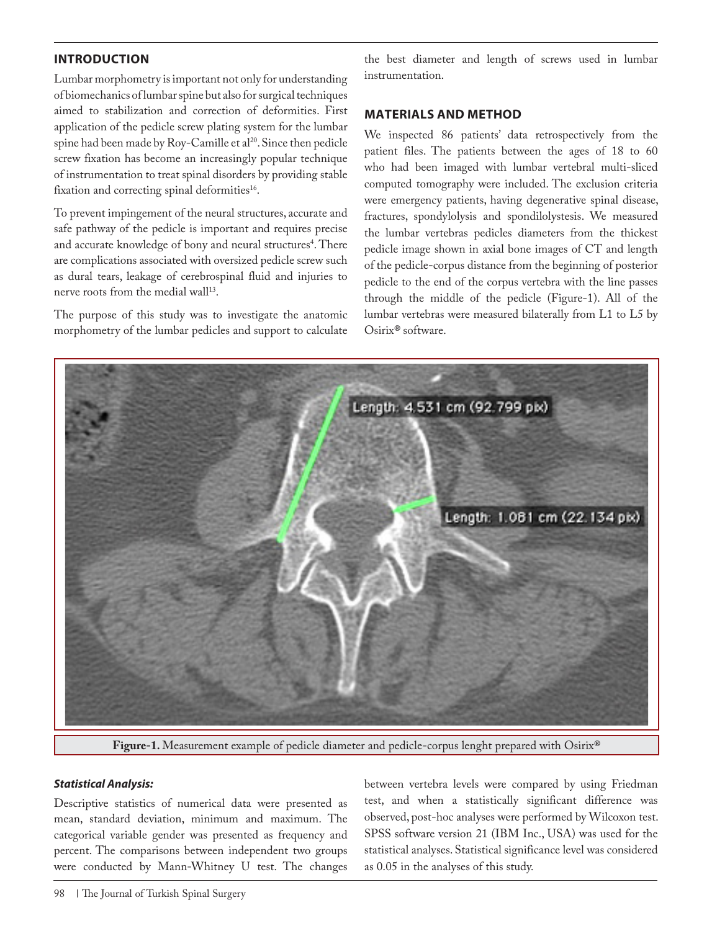## **INTRODUCTION**

Lumbar morphometry is important not only for understanding of biomechanics of lumbar spine but also for surgical techniques aimed to stabilization and correction of deformities. First application of the pedicle screw plating system for the lumbar spine had been made by Roy-Camille et al<sup>20</sup>. Since then pedicle screw fixation has become an increasingly popular technique of instrumentation to treat spinal disorders by providing stable fixation and correcting spinal deformities<sup>16</sup>.

To prevent impingement of the neural structures, accurate and safe pathway of the pedicle is important and requires precise and accurate knowledge of bony and neural structures<sup>4</sup>. There are complications associated with oversized pedicle screw such as dural tears, leakage of cerebrospinal fluid and injuries to nerve roots from the medial wall<sup>13</sup>.

The purpose of this study was to investigate the anatomic morphometry of the lumbar pedicles and support to calculate

the best diameter and length of screws used in lumbar instrumentation.

### **MATERIALS AND METHOD**

We inspected 86 patients' data retrospectively from the patient files. The patients between the ages of 18 to 60 who had been imaged with lumbar vertebral multi-sliced computed tomography were included. The exclusion criteria were emergency patients, having degenerative spinal disease, fractures, spondylolysis and spondilolystesis. We measured the lumbar vertebras pedicles diameters from the thickest pedicle image shown in axial bone images of CT and length of the pedicle-corpus distance from the beginning of posterior pedicle to the end of the corpus vertebra with the line passes through the middle of the pedicle (Figure-1). All of the lumbar vertebras were measured bilaterally from L1 to L5 by Osirix**®** software.



**Figure-1.** Measurement example of pedicle diameter and pedicle-corpus lenght prepared with Osirix**®**

#### *Statistical Analysis:*

Descriptive statistics of numerical data were presented as mean, standard deviation, minimum and maximum. The categorical variable gender was presented as frequency and percent. The comparisons between independent two groups were conducted by Mann-Whitney U test. The changes between vertebra levels were compared by using Friedman test, and when a statistically significant difference was observed, post-hoc analyses were performed by Wilcoxon test. SPSS software version 21 (IBM Inc., USA) was used for the statistical analyses. Statistical significance level was considered as 0.05 in the analyses of this study.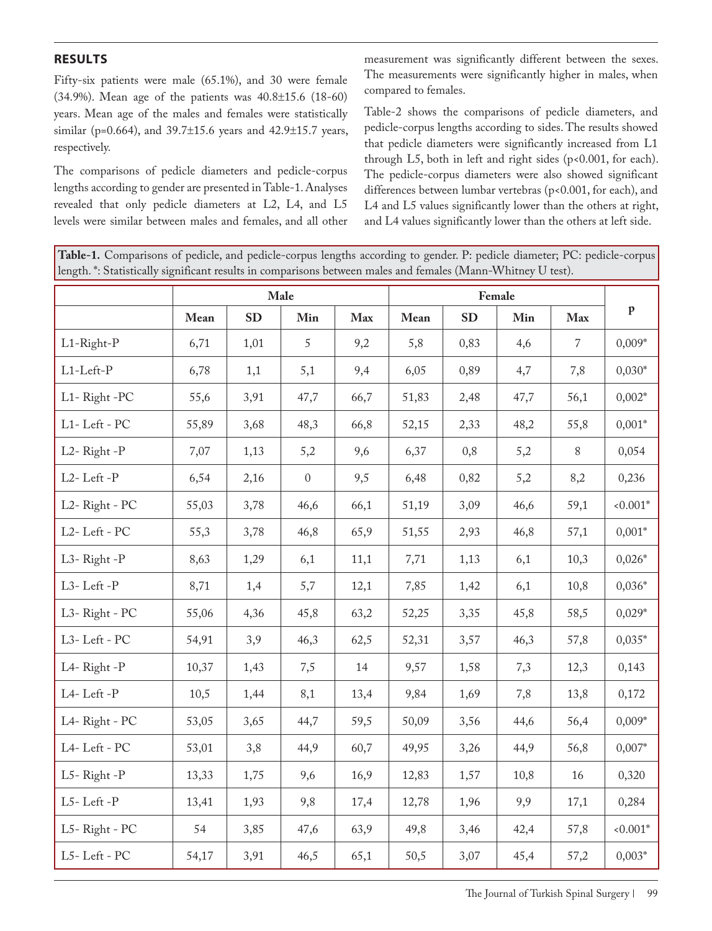### **RESULTS**

Fifty-six patients were male (65.1%), and 30 were female (34.9%). Mean age of the patients was 40.8±15.6 (18-60) years. Mean age of the males and females were statistically similar (p=0.664), and 39.7±15.6 years and 42.9±15.7 years, respectively.

The comparisons of pedicle diameters and pedicle-corpus lengths according to gender are presented in Table-1. Analyses revealed that only pedicle diameters at L2, L4, and L5 levels were similar between males and females, and all other

measurement was significantly different between the sexes. The measurements were significantly higher in males, when compared to females.

Table-2 shows the comparisons of pedicle diameters, and pedicle-corpus lengths according to sides. The results showed that pedicle diameters were significantly increased from L1 through L5, both in left and right sides (p<0.001, for each). The pedicle-corpus diameters were also showed significant differences between lumbar vertebras (p<0.001, for each), and L4 and L5 values significantly lower than the others at right, and L4 values significantly lower than the others at left side.

**Table-1.** Comparisons of pedicle, and pedicle-corpus lengths according to gender. P: pedicle diameter; PC: pedicle-corpus length. \*: Statistically significant results in comparisons between males and females (Mann-Whitney U test).

|                     | Male  |           |              |      |       |           |      |                |              |  |
|---------------------|-------|-----------|--------------|------|-------|-----------|------|----------------|--------------|--|
|                     | Mean  | <b>SD</b> | Min          | Max  | Mean  | <b>SD</b> | Min  | Max            | $\, {\bf p}$ |  |
| L1-Right-P          | 6,71  | 1,01      | 5            | 9,2  | 5,8   | 0,83      | 4,6  | $\overline{7}$ | $0,009*$     |  |
| $L1$ - $L$ eft- $P$ | 6,78  | 1,1       | 5,1          | 9,4  | 6,05  | 0,89      | 4,7  | 7,8            | $0,030*$     |  |
| L1-Right-PC         | 55,6  | 3,91      | 47,7         | 66,7 | 51,83 | 2,48      | 47,7 | 56,1           | $0,002*$     |  |
| L1-Left - PC        | 55,89 | 3,68      | 48,3         | 66,8 | 52,15 | 2,33      | 48,2 | 55,8           | $0,001*$     |  |
| L2-Right-P          | 7,07  | 1,13      | 5,2          | 9,6  | 6,37  | 0,8       | 5,2  | 8              | 0,054        |  |
| L2-Left-P           | 6,54  | 2,16      | $\mathbf{0}$ | 9,5  | 6,48  | 0,82      | 5,2  | 8,2            | 0,236        |  |
| L2-Right - PC       | 55,03 | 3,78      | 46,6         | 66,1 | 51,19 | 3,09      | 46,6 | 59,1           | $0.001*$     |  |
| L2-Left - PC        | 55,3  | 3,78      | 46,8         | 65,9 | 51,55 | 2,93      | 46,8 | 57,1           | $0,001*$     |  |
| L3-Right-P          | 8,63  | 1,29      | 6,1          | 11,1 | 7,71  | 1,13      | 6,1  | 10,3           | $0,026*$     |  |
| L3-Left-P           | 8,71  | 1,4       | 5,7          | 12,1 | 7,85  | 1,42      | 6,1  | 10,8           | $0,036*$     |  |
| L3-Right - PC       | 55,06 | 4,36      | 45,8         | 63,2 | 52,25 | 3,35      | 45,8 | 58,5           | $0,029*$     |  |
| L3-Left - PC        | 54,91 | 3,9       | 46,3         | 62,5 | 52,31 | 3,57      | 46,3 | 57,8           | $0,035*$     |  |
| L4-Right-P          | 10,37 | 1,43      | 7,5          | 14   | 9,57  | 1,58      | 7,3  | 12,3           | 0,143        |  |
| L4-Left-P           | 10,5  | 1,44      | 8,1          | 13,4 | 9,84  | 1,69      | 7,8  | 13,8           | 0,172        |  |
| L4-Right - PC       | 53,05 | 3,65      | 44,7         | 59,5 | 50,09 | 3,56      | 44,6 | 56,4           | $0,009*$     |  |
| L4-Left - PC        | 53,01 | 3,8       | 44,9         | 60,7 | 49,95 | 3,26      | 44,9 | 56,8           | $0,007*$     |  |
| L5-Right-P          | 13,33 | 1,75      | 9,6          | 16,9 | 12,83 | 1,57      | 10,8 | 16             | 0,320        |  |
| L5-Left-P           | 13,41 | 1,93      | 9,8          | 17,4 | 12,78 | 1,96      | 9,9  | 17,1           | 0,284        |  |
| L5-Right - PC       | 54    | 3,85      | 47,6         | 63,9 | 49,8  | 3,46      | 42,4 | 57,8           | $0.001*$     |  |
| L5-Left - PC        | 54,17 | 3,91      | 46,5         | 65,1 | 50,5  | 3,07      | 45,4 | 57,2           | $0,003*$     |  |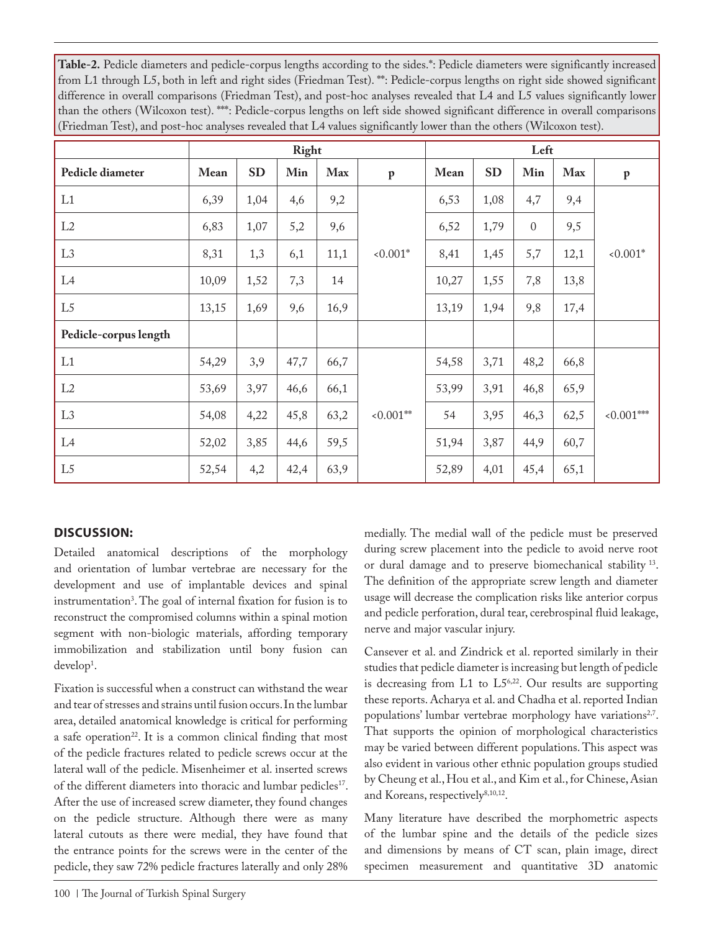**Table-2.** Pedicle diameters and pedicle-corpus lengths according to the sides.\*: Pedicle diameters were significantly increased from L1 through L5, both in left and right sides (Friedman Test). \*\*: Pedicle-corpus lengths on right side showed significant difference in overall comparisons (Friedman Test), and post-hoc analyses revealed that L4 and L5 values significantly lower than the others (Wilcoxon test). \*\*\*: Pedicle-corpus lengths on left side showed significant difference in overall comparisons (Friedman Test), and post-hoc analyses revealed that L4 values significantly lower than the others (Wilcoxon test).

|                       | Right |           |      |      |              | Left  |           |              |      |              |
|-----------------------|-------|-----------|------|------|--------------|-------|-----------|--------------|------|--------------|
| Pedicle diameter      | Mean  | <b>SD</b> | Min  | Max  | $\mathbf{p}$ | Mean  | <b>SD</b> | Min          | Max  | $\mathbf{p}$ |
| L1                    | 6,39  | 1,04      | 4,6  | 9,2  |              | 6,53  | 1,08      | 4,7          | 9,4  |              |
| L2                    | 6,83  | 1,07      | 5,2  | 9,6  | $< 0.001*$   | 6,52  | 1,79      | $\mathbf{0}$ | 9,5  | $< 0.001*$   |
| L <sub>3</sub>        | 8,31  | 1,3       | 6,1  | 11,1 |              | 8,41  | 1,45      | 5,7          | 12,1 |              |
| L4                    | 10,09 | 1,52      | 7,3  | 14   |              | 10,27 | 1,55      | 7,8          | 13,8 |              |
| L <sub>5</sub>        | 13,15 | 1,69      | 9,6  | 16,9 |              | 13,19 | 1,94      | 9,8          | 17,4 |              |
| Pedicle-corpus length |       |           |      |      |              |       |           |              |      |              |
| L1                    | 54,29 | 3,9       | 47,7 | 66,7 |              | 54,58 | 3,71      | 48,2         | 66,8 |              |
| L2                    | 53,69 | 3,97      | 46,6 | 66,1 |              | 53,99 | 3,91      | 46,8         | 65,9 |              |
| L <sub>3</sub>        | 54,08 | 4,22      | 45,8 | 63,2 | $0.001**$    | 54    | 3,95      | 46,3         | 62,5 | $0.001***$   |
| L4                    | 52,02 | 3,85      | 44,6 | 59,5 |              | 51,94 | 3,87      | 44,9         | 60,7 |              |
| L5                    | 52,54 | 4,2       | 42,4 | 63,9 |              | 52,89 | 4,01      | 45,4         | 65,1 |              |

### **DISCUSSION:**

Detailed anatomical descriptions of the morphology and orientation of lumbar vertebrae are necessary for the development and use of implantable devices and spinal instrumentation3 . The goal of internal fixation for fusion is to reconstruct the compromised columns within a spinal motion segment with non-biologic materials, affording temporary immobilization and stabilization until bony fusion can develop<sup>1</sup>.

Fixation is successful when a construct can withstand the wear and tear of stresses and strains until fusion occurs. In the lumbar area, detailed anatomical knowledge is critical for performing a safe operation<sup>22</sup>. It is a common clinical finding that most of the pedicle fractures related to pedicle screws occur at the lateral wall of the pedicle. Misenheimer et al. inserted screws of the different diameters into thoracic and lumbar pedicles<sup>17</sup>. After the use of increased screw diameter, they found changes on the pedicle structure. Although there were as many lateral cutouts as there were medial, they have found that the entrance points for the screws were in the center of the pedicle, they saw 72% pedicle fractures laterally and only 28% medially. The medial wall of the pedicle must be preserved during screw placement into the pedicle to avoid nerve root or dural damage and to preserve biomechanical stability 13. The definition of the appropriate screw length and diameter usage will decrease the complication risks like anterior corpus and pedicle perforation, dural tear, cerebrospinal fluid leakage, nerve and major vascular injury.

Cansever et al. and Zindrick et al. reported similarly in their studies that pedicle diameter is increasing but length of pedicle is decreasing from L1 to L56,22. Our results are supporting these reports. Acharya et al. and Chadha et al. reported Indian populations' lumbar vertebrae morphology have variations<sup>2,7</sup>. That supports the opinion of morphological characteristics may be varied between different populations. This aspect was also evident in various other ethnic population groups studied by Cheung et al., Hou et al., and Kim et al., for Chinese, Asian and Koreans, respectively<sup>8,10,12</sup>.

Many literature have described the morphometric aspects of the lumbar spine and the details of the pedicle sizes and dimensions by means of CT scan, plain image, direct specimen measurement and quantitative 3D anatomic